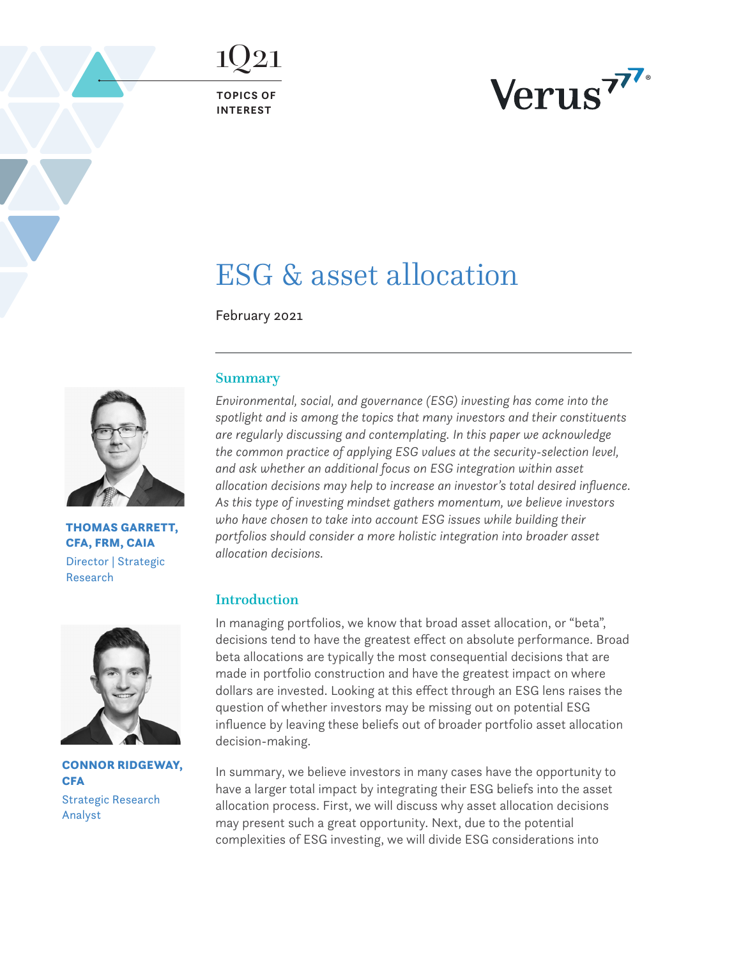1Q21

**TOPICS OF INTEREST**



# ESG & asset allocation

February 2021



THOMAS GARRETT, CFA, FRM, CAIA Director | Strategic Research



CONNOR RIDGEWAY, **CFA** Strategic Research Analyst

# **Summary**

*Environmental, social, and governance (ESG) investing has come into the spotlight and is among the topics that many investors and their constituents are regularly discussing and contemplating. In this paper we acknowledge the common practice of applying ESG values at the security-selection level, and ask whether an additional focus on ESG integration within asset allocation decisions may help to increase an investor's total desired influence. As this type of investing mindset gathers momentum, we believe investors who have chosen to take into account ESG issues while building their portfolios should consider a more holistic integration into broader asset allocation decisions.*

# Introduction

In managing portfolios, we know that broad asset allocation, or "beta", decisions tend to have the greatest effect on absolute performance. Broad beta allocations are typically the most consequential decisions that are made in portfolio construction and have the greatest impact on where dollars are invested. Looking at this effect through an ESG lens raises the question of whether investors may be missing out on potential ESG influence by leaving these beliefs out of broader portfolio asset allocation decision-making.

In summary, we believe investors in many cases have the opportunity to have a larger total impact by integrating their ESG beliefs into the asset allocation process. First, we will discuss why asset allocation decisions may present such a great opportunity. Next, due to the potential complexities of ESG investing, we will divide ESG considerations into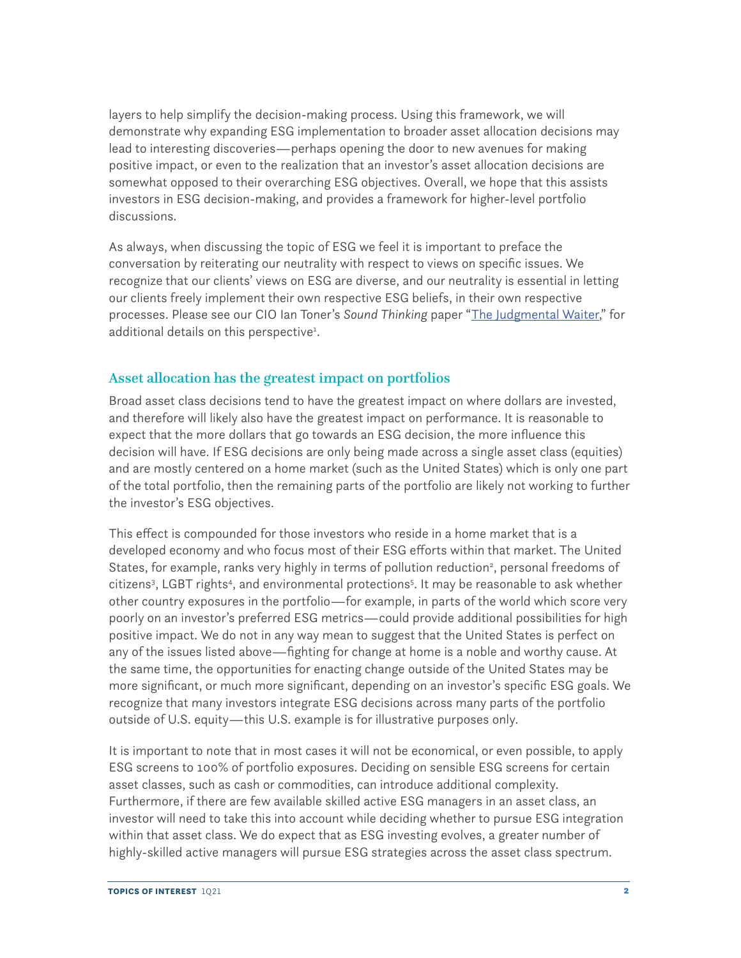<span id="page-1-0"></span>layers to help simplify the decision-making process. Using this framework, we will demonstrate why expanding ESG implementation to broader asset allocation decisions may lead to interesting discoveries—perhaps opening the door to new avenues for making positive impact, or even to the realization that an investor's asset allocation decisions are somewhat opposed to their overarching ESG objectives. Overall, we hope that this assists investors in ESG decision-making, and provides a framework for higher-level portfolio discussions.

As always, when discussing the topic of ESG we feel it is important to preface the conversation by reiterating our neutrality with respect to views on specific issues. We recognize that our clients' views on ESG are diverse, and our neutrality is essential in letting our clients freely implement their own respective ESG beliefs, in their own respective processes. Please see our CIO Ian Toner's *Sound Thinking* paper "[The Judgmental Waiter](https://www.verusinvestments.com/sound-thinking-the-judgmental-waiter/)," for additional details on this perspective<sup>[1](#page-8-0)</sup>.

# Asset allocation has the greatest impact on portfolios

Broad asset class decisions tend to have the greatest impact on where dollars are invested, and therefore will likely also have the greatest impact on performance. It is reasonable to expect that the more dollars that go towards an ESG decision, the more influence this decision will have. If ESG decisions are only being made across a single asset class (equities) and are mostly centered on a home market (such as the United States) which is only one part of the total portfolio, then the remaining parts of the portfolio are likely not working to further the investor's ESG objectives.

This effect is compounded for those investors who reside in a home market that is a developed economy and who focus most of their ESG efforts within that market. The United States, for example, ranks very highly in terms of pollution reduction<sup>[2](#page-8-0)</sup>, personal freedoms of citizens<sup>3</sup>, LGBT rights<sup>[4](#page-8-0)</sup>, and environmental protections<sup>5</sup>. It may be reasonable to ask whether other country exposures in the portfolio—for example, in parts of the world which score very poorly on an investor's preferred ESG metrics—could provide additional possibilities for high positive impact. We do not in any way mean to suggest that the United States is perfect on any of the issues listed above—fighting for change at home is a noble and worthy cause. At the same time, the opportunities for enacting change outside of the United States may be more significant, or much more significant, depending on an investor's specific ESG goals. We recognize that many investors integrate ESG decisions across many parts of the portfolio outside of U.S. equity—this U.S. example is for illustrative purposes only.

It is important to note that in most cases it will not be economical, or even possible, to apply ESG screens to 100% of portfolio exposures. Deciding on sensible ESG screens for certain asset classes, such as cash or commodities, can introduce additional complexity. Furthermore, if there are few available skilled active ESG managers in an asset class, an investor will need to take this into account while deciding whether to pursue ESG integration within that asset class. We do expect that as ESG investing evolves, a greater number of highly-skilled active managers will pursue ESG strategies across the asset class spectrum.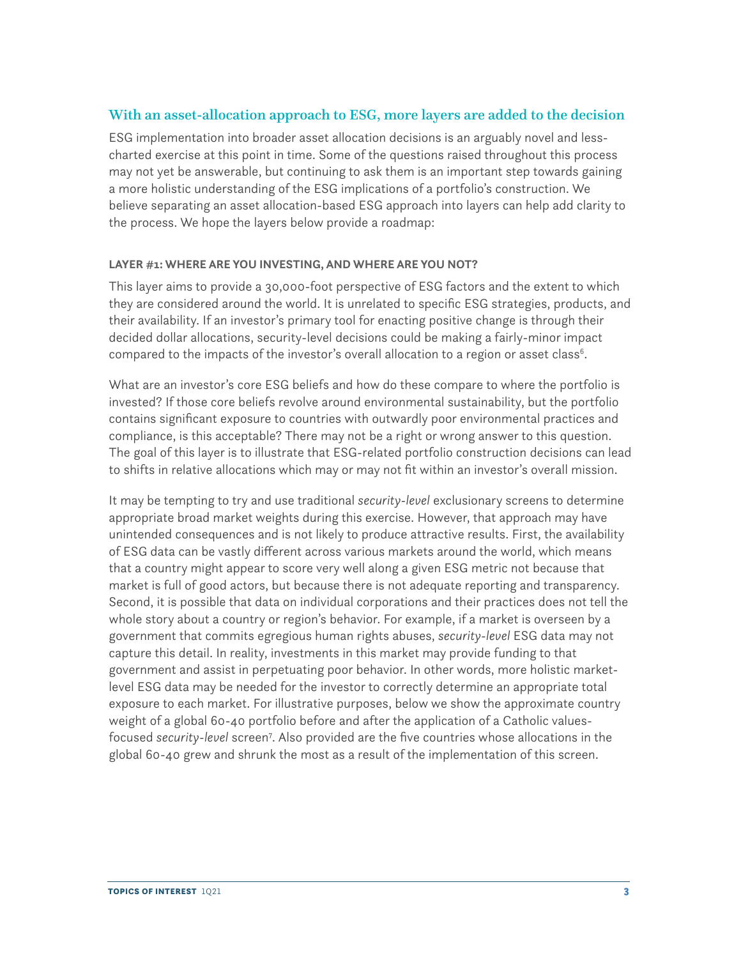# <span id="page-2-0"></span>With an asset-allocation approach to ESG, more layers are added to the decision

ESG implementation into broader asset allocation decisions is an arguably novel and lesscharted exercise at this point in time. Some of the questions raised throughout this process may not yet be answerable, but continuing to ask them is an important step towards gaining a more holistic understanding of the ESG implications of a portfolio's construction. We believe separating an asset allocation-based ESG approach into layers can help add clarity to the process. We hope the layers below provide a roadmap:

#### **LAYER #1: WHERE ARE YOU INVESTING, AND WHERE ARE YOU NOT?**

This layer aims to provide a 30,000-foot perspective of ESG factors and the extent to which they are considered around the world. It is unrelated to specific ESG strategies, products, and their availability. If an investor's primary tool for enacting positive change is through their decided dollar allocations, security-level decisions could be making a fairly-minor impact compared to the impacts of the investor's overall allocation to a region or asset class $6$ .

What are an investor's core ESG beliefs and how do these compare to where the portfolio is invested? If those core beliefs revolve around environmental sustainability, but the portfolio contains significant exposure to countries with outwardly poor environmental practices and compliance, is this acceptable? There may not be a right or wrong answer to this question. The goal of this layer is to illustrate that ESG-related portfolio construction decisions can lead to shifts in relative allocations which may or may not fit within an investor's overall mission.

It may be tempting to try and use traditional *security-level* exclusionary screens to determine appropriate broad market weights during this exercise. However, that approach may have unintended consequences and is not likely to produce attractive results. First, the availability of ESG data can be vastly different across various markets around the world, which means that a country might appear to score very well along a given ESG metric not because that market is full of good actors, but because there is not adequate reporting and transparency. Second, it is possible that data on individual corporations and their practices does not tell the whole story about a country or region's behavior. For example, if a market is overseen by a government that commits egregious human rights abuses, *security-level* ESG data may not capture this detail. In reality, investments in this market may provide funding to that government and assist in perpetuating poor behavior. In other words, more holistic marketlevel ESG data may be needed for the investor to correctly determine an appropriate total exposure to each market. For illustrative purposes, below we show the approximate country weight of a global 60-40 portfolio before and after the application of a Catholic valuesfocused *security-level* scree[n7](#page-8-0) . Also provided are the five countries whose allocations in the global 60-40 grew and shrunk the most as a result of the implementation of this screen.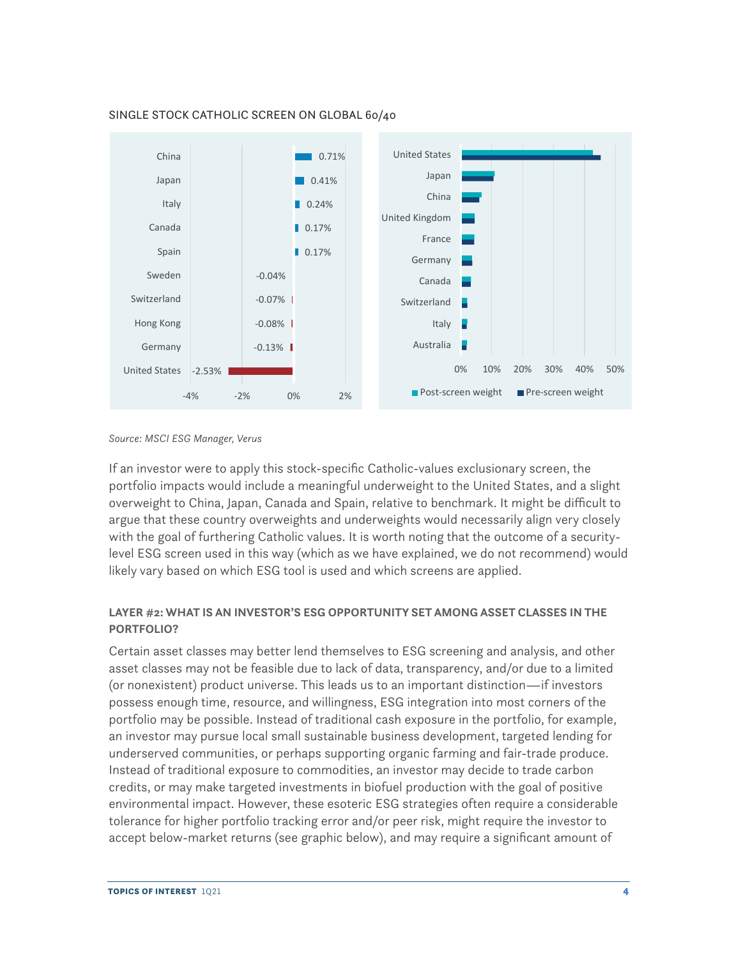

#### SINGLE STOCK CATHOLIC SCREEN ON GLOBAL 60/40

#### *Source: MSCI ESG Manager, Verus*

If an investor were to apply this stock-specific Catholic-values exclusionary screen, the portfolio impacts would include a meaningful underweight to the United States, and a slight overweight to China, Japan, Canada and Spain, relative to benchmark. It might be difficult to argue that these country overweights and underweights would necessarily align very closely with the goal of furthering Catholic values. It is worth noting that the outcome of a securitylevel ESG screen used in this way (which as we have explained, we do not recommend) would likely vary based on which ESG tool is used and which screens are applied.

#### **LAYER #2: WHAT IS AN INVESTOR'S ESG OPPORTUNITY SET AMONG ASSET CLASSES IN THE PORTFOLIO?**

Certain asset classes may better lend themselves to ESG screening and analysis, and other asset classes may not be feasible due to lack of data, transparency, and/or due to a limited (or nonexistent) product universe. This leads us to an important distinction—if investors possess enough time, resource, and willingness, ESG integration into most corners of the portfolio may be possible. Instead of traditional cash exposure in the portfolio, for example, an investor may pursue local small sustainable business development, targeted lending for underserved communities, or perhaps supporting organic farming and fair-trade produce. Instead of traditional exposure to commodities, an investor may decide to trade carbon credits, or may make targeted investments in biofuel production with the goal of positive environmental impact. However, these esoteric ESG strategies often require a considerable tolerance for higher portfolio tracking error and/or peer risk, might require the investor to accept below-market returns (see graphic below), and may require a significant amount of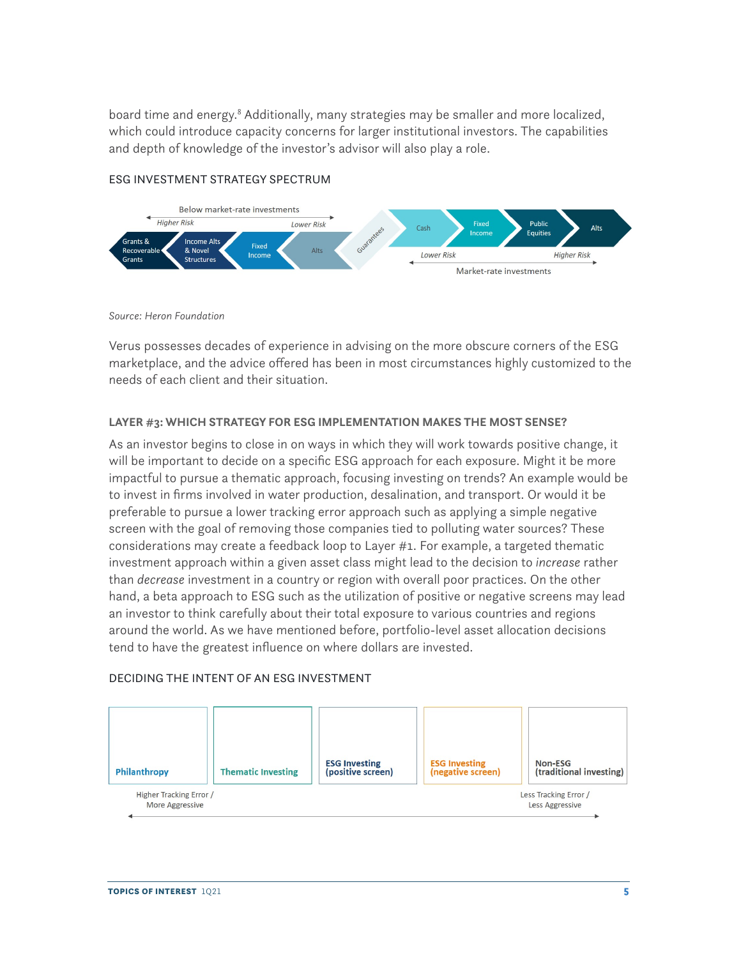<span id="page-4-0"></span>board time and energy.<sup>8</sup> Additionally, many strategies may be smaller and more localized, which could introduce capacity concerns for larger institutional investors. The capabilities and depth of knowledge of the investor's advisor will also play a role.



#### ESG INVESTMENT STRATEGY SPECTRUM

*Source: Heron Foundation*

Verus possesses decades of experience in advising on the more obscure corners of the ESG marketplace, and the advice offered has been in most circumstances highly customized to the needs of each client and their situation.

# **LAYER #3: WHICH STRATEGY FOR ESG IMPLEMENTATION MAKES THE MOST SENSE?**

As an investor begins to close in on ways in which they will work towards positive change, it will be important to decide on a specific ESG approach for each exposure. Might it be more impactful to pursue a thematic approach, focusing investing on trends? An example would be to invest in firms involved in water production, desalination, and transport. Or would it be preferable to pursue a lower tracking error approach such as applying a simple negative screen with the goal of removing those companies tied to polluting water sources? These considerations may create a feedback loop to Layer #1. For example, a targeted thematic investment approach within a given asset class might lead to the decision to *increase* rather than *decrease* investment in a country or region with overall poor practices. On the other hand, a beta approach to ESG such as the utilization of positive or negative screens may lead an investor to think carefully about their total exposure to various countries and regions around the world. As we have mentioned before, portfolio-level asset allocation decisions tend to have the greatest influence on where dollars are invested.

## DECIDING THE INTENT OF AN ESG INVESTMENT

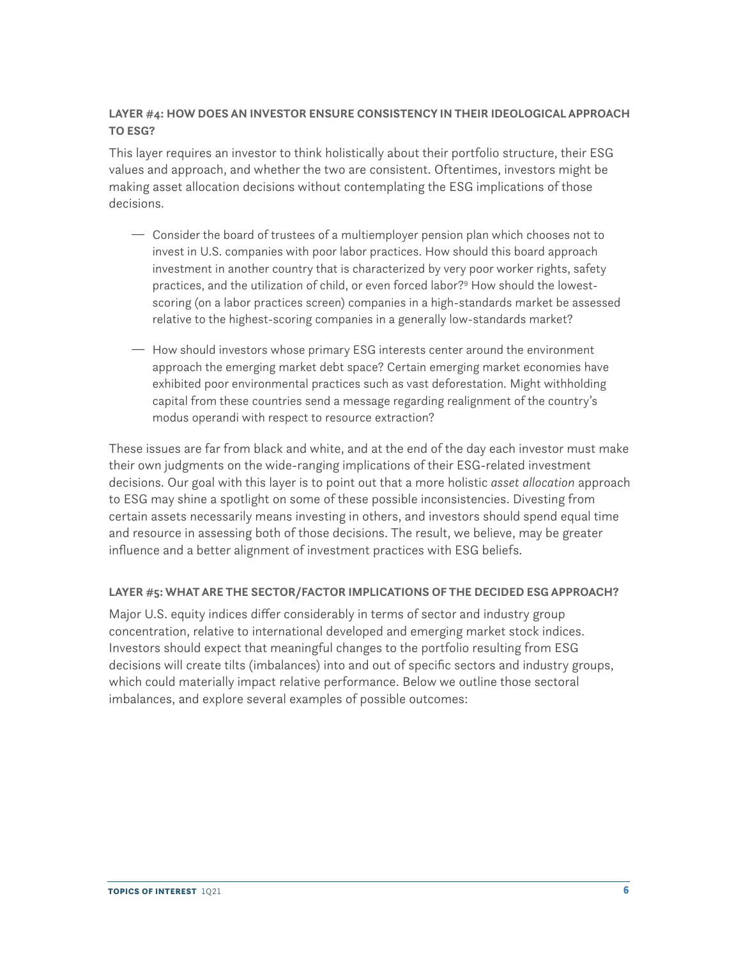# <span id="page-5-0"></span>**LAYER #4: HOW DOES AN INVESTOR ENSURE CONSISTENCY IN THEIR IDEOLOGICAL APPROACH TO ESG?**

This layer requires an investor to think holistically about their portfolio structure, their ESG values and approach, and whether the two are consistent. Oftentimes, investors might be making asset allocation decisions without contemplating the ESG implications of those decisions.

- $\overline{a}$  Consider the board of trustees of a multiemployer pension plan which chooses not to invest in U.S. companies with poor labor practices. How should this board approach investment in another country that is characterized by very poor worker rights, safety practices, and the utilization of child, or even forced labor?<sup>9</sup> How should the lowestscoring (on a labor practices screen) companies in a high-standards market be assessed relative to the highest-scoring companies in a generally low-standards market?
- <sup>-</sup> How should investors whose primary ESG interests center around the environment approach the emerging market debt space? Certain emerging market economies have exhibited poor environmental practices such as vast deforestation. Might withholding capital from these countries send a message regarding realignment of the country's modus operandi with respect to resource extraction?

These issues are far from black and white, and at the end of the day each investor must make their own judgments on the wide-ranging implications of their ESG-related investment decisions. Our goal with this layer is to point out that a more holistic *asset allocation* approach to ESG may shine a spotlight on some of these possible inconsistencies. Divesting from certain assets necessarily means investing in others, and investors should spend equal time and resource in assessing both of those decisions. The result, we believe, may be greater influence and a better alignment of investment practices with ESG beliefs.

## **LAYER #5: WHAT ARE THE SECTOR/FACTOR IMPLICATIONS OF THE DECIDED ESG APPROACH?**

Major U.S. equity indices differ considerably in terms of sector and industry group concentration, relative to international developed and emerging market stock indices. Investors should expect that meaningful changes to the portfolio resulting from ESG decisions will create tilts (imbalances) into and out of specific sectors and industry groups, which could materially impact relative performance. Below we outline those sectoral imbalances, and explore several examples of possible outcomes: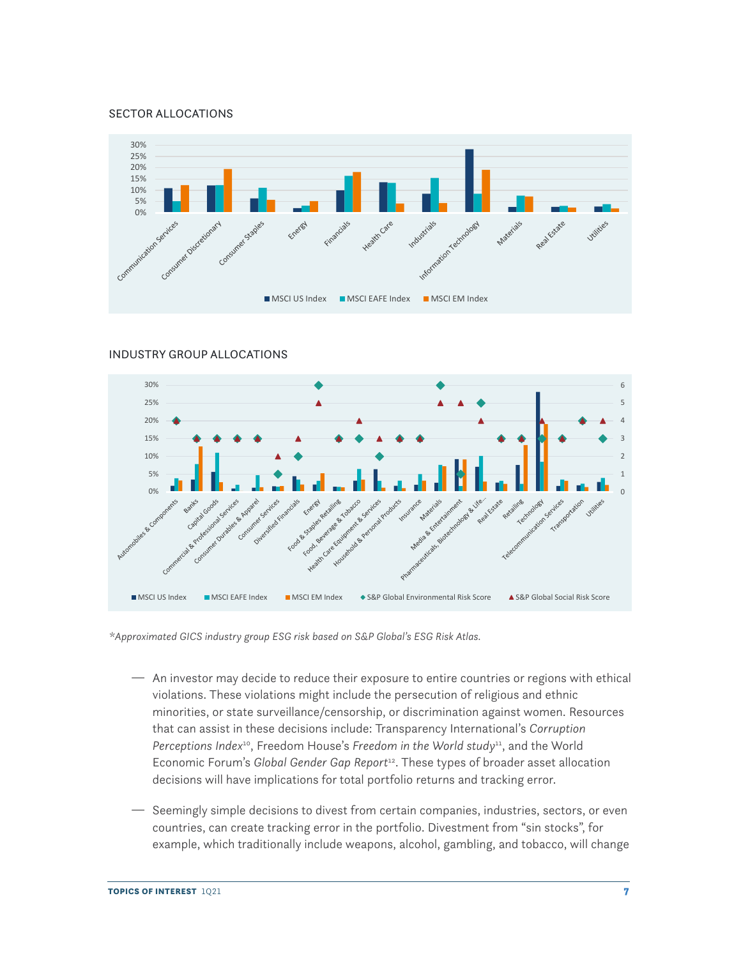#### <span id="page-6-0"></span>SECTOR ALLOCATIONS







*\*Approximated GICS industry group ESG risk based on S&P Global's ESG Risk Atlas.*

- $-$  An investor may decide to reduce their exposure to entire countries or regions with ethical violations. These violations might include the persecution of religious and ethnic minorities, or state surveillance/censorship, or discrimination against women. Resources that can assist in these decisions include: Transparency International's *Corruption Perceptions Index*[10,](#page-8-0) Freedom House's *Freedom in the World study*[11,](#page-9-0) and the World Economic Forum's *Global Gender Gap Report*[12.](#page-9-0) These types of broader asset allocation decisions will have implications for total portfolio returns and tracking error.
- <sup>2</sup> Seemingly simple decisions to divest from certain companies, industries, sectors, or even countries, can create tracking error in the portfolio. Divestment from "sin stocks", for example, which traditionally include weapons, alcohol, gambling, and tobacco, will change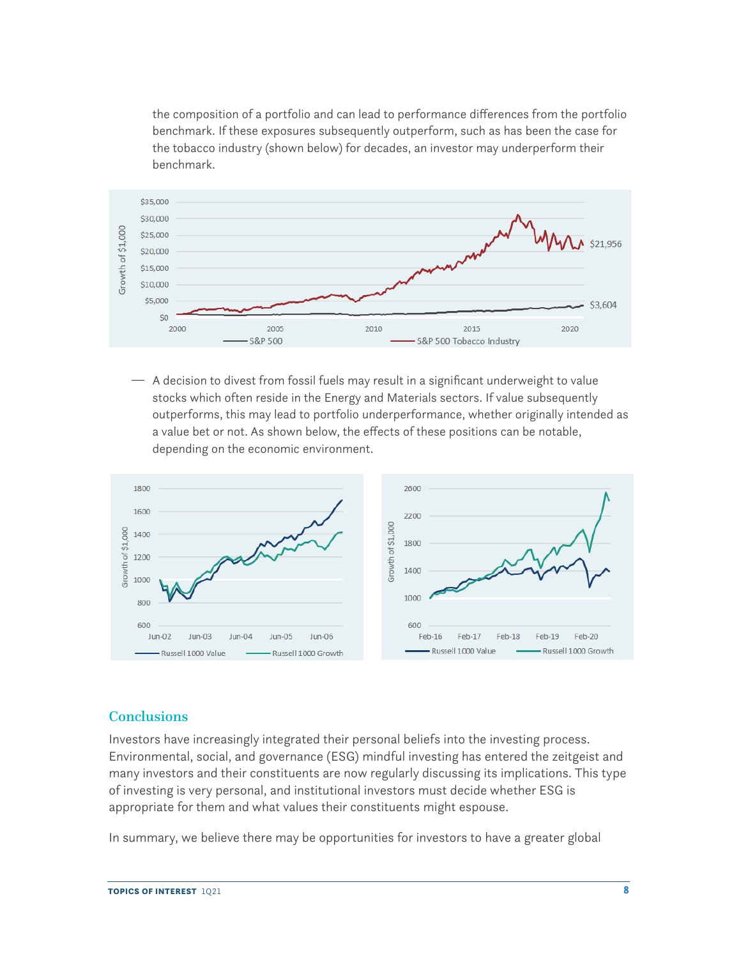the composition of a portfolio and can lead to performance differences from the portfolio benchmark. If these exposures subsequently outperform, such as has been the case for the tobacco industry (shown below) for decades, an investor may underperform their benchmark.



A decision to divest from fossil fuels may result in a significant underweight to value stocks which often reside in the Energy and Materials sectors. If value subsequently outperforms, this may lead to portfolio underperformance, whether originally intended as a value bet or not. As shown below, the effects of these positions can be notable, depending on the economic environment.



## **Conclusions**

Investors have increasingly integrated their personal beliefs into the investing process. Environmental, social, and governance (ESG) mindful investing has entered the zeitgeist and many investors and their constituents are now regularly discussing its implications. This type of investing is very personal, and institutional investors must decide whether ESG is appropriate for them and what values their constituents might espouse.

In summary, we believe there may be opportunities for investors to have a greater global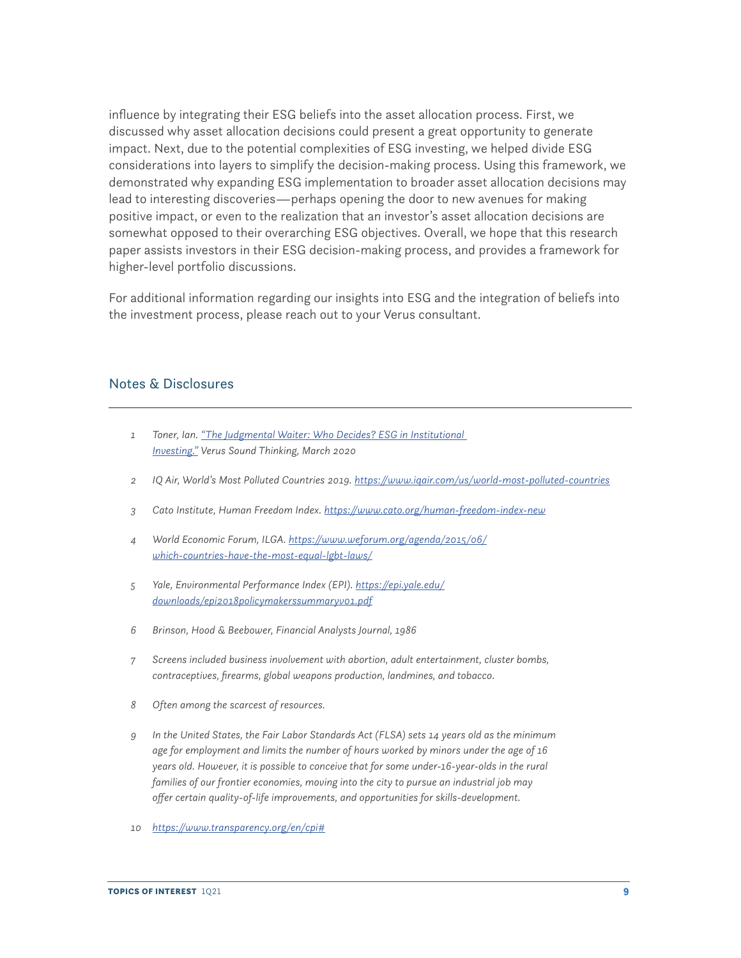<span id="page-8-0"></span>influence by integrating their ESG beliefs into the asset allocation process. First, we discussed why asset allocation decisions could present a great opportunity to generate impact. Next, due to the potential complexities of ESG investing, we helped divide ESG considerations into layers to simplify the decision-making process. Using this framework, we demonstrated why expanding ESG implementation to broader asset allocation decisions may lead to interesting discoveries—perhaps opening the door to new avenues for making positive impact, or even to the realization that an investor's asset allocation decisions are somewhat opposed to their overarching ESG objectives. Overall, we hope that this research paper assists investors in their ESG decision-making process, and provides a framework for higher-level portfolio discussions.

For additional information regarding our insights into ESG and the integration of beliefs into the investment process, please reach out to your Verus consultant.

#### Notes & Disclosures

- *[1](#page-1-0) Toner, Ian. ["The Judgmental Waiter: Who Decides? ESG in Institutional](https://www.verusinvestments.com/sound-thinking-the-judgmental-waiter/)  [Investing."](https://www.verusinvestments.com/sound-thinking-the-judgmental-waiter/) Verus Sound Thinking, March 2020*
- *[2](#page-1-0) IQ Air, World's Most Polluted Countries 2019.<https://www.iqair.com/us/world-most-polluted-countries>*
- *[3](#page-1-0) Cato Institute, Human Freedom Index.<https://www.cato.org/human-freedom-index-new>*
- *[4](#page-1-0) World Economic Forum, ILGA. [https://www.weforum.org/agenda/2015/06/](https://www.weforum.org/agenda/2015/06/which-countries-have-the-most-equal-lgbt-laws/) [which-countries-have-the-most-equal-lgbt-laws/](https://www.weforum.org/agenda/2015/06/which-countries-have-the-most-equal-lgbt-laws/)*
- *[5](#page-1-0) Yale, Environmental Performance Index (EPI). [https://epi.yale.edu/](https://epi.yale.edu/downloads/epi2018policymakerssummaryv01.pdf) [downloads/epi2018policymakerssummaryv01.pdf](https://epi.yale.edu/downloads/epi2018policymakerssummaryv01.pdf)*
- *[6](#page-2-0) Brinson, Hood & Beebower, Financial Analysts Journal, 1986*
- *[7](#page-2-0) Screens included business involvement with abortion, adult entertainment, cluster bombs, contraceptives, firearms, global weapons production, landmines, and tobacco.*
- *[8](#page-4-0) Often among the scarcest of resources.*
- *[9](#page-5-0) In the United States, the Fair Labor Standards Act (FLSA) sets 14 years old as the minimum age for employment and limits the number of hours worked by minors under the age of 16 years old. However, it is possible to conceive that for some under-16-year-olds in the rural families of our frontier economies, moving into the city to pursue an industrial job may offer certain quality-of-life improvements, and opportunities for skills-development.*
- *[10](#page-6-0) <https://www.transparency.org/en/cpi#>*